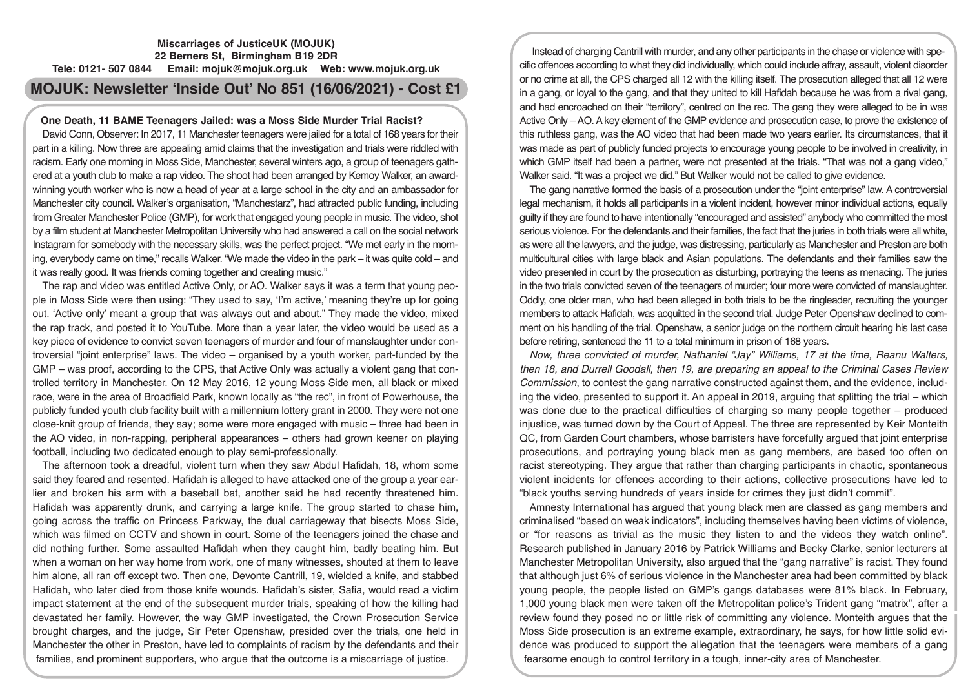# **Miscarriages of JusticeUK (MOJUK) 22 Berners St, Birmingham B19 2DR Tele: 0121- 507 0844 Email: mojuk@mojuk.org.uk Web: www.mojuk.org.uk**

# **MOJUK: Newsletter 'Inside Out' No 851 (16/06/2021) - Cost £1**

# **One Death, 11 BAME Teenagers Jailed: was a Moss Side Murder Trial Racist?**

David Conn, Observer: In 2017, 11 Manchester teenagers were jailed for a total of 168 years for their part in a killing. Now three are appealing amid claims that the investigation and trials were riddled with racism. Early one morning in Moss Side, Manchester, several winters ago, a group of teenagers gathered at a youth club to make a rap video. The shoot had been arranged by Kemoy Walker, an awardwinning youth worker who is now a head of year at a large school in the city and an ambassador for Manchester city council. Walker's organisation, "Manchestarz", had attracted public funding, including from Greater Manchester Police (GMP), for work that engaged young people in music. The video, shot by a film student at Manchester Metropolitan University who had answered a call on the social network Instagram for somebody with the necessary skills, was the perfect project. "We met early in the morning, everybody came on time," recalls Walker. "We made the video in the park – it was quite cold – and it was really good. It was friends coming together and creating music."

The rap and video was entitled Active Only, or AO. Walker says it was a term that young people in Moss Side were then using: "They used to say, 'I'm active,' meaning they're up for going out. 'Active only' meant a group that was always out and about." They made the video, mixed the rap track, and posted it to YouTube. More than a year later, the video would be used as a key piece of evidence to convict seven teenagers of murder and four of manslaughter under controversial "joint enterprise" laws. The video – organised by a youth worker, part-funded by the GMP – was proof, according to the CPS, that Active Only was actually a violent gang that controlled territory in Manchester. On 12 May 2016, 12 young Moss Side men, all black or mixed race, were in the area of Broadfield Park, known locally as "the rec", in front of Powerhouse, the publicly funded youth club facility built with a millennium lottery grant in 2000. They were not one close-knit group of friends, they say; some were more engaged with music – three had been in the AO video, in non-rapping, peripheral appearances – others had grown keener on playing football, including two dedicated enough to play semi-professionally.

The afternoon took a dreadful, violent turn when they saw Abdul Hafidah, 18, whom some said they feared and resented. Hafidah is alleged to have attacked one of the group a year earlier and broken his arm with a baseball bat, another said he had recently threatened him. Hafidah was apparently drunk, and carrying a large knife. The group started to chase him, going across the traffic on Princess Parkway, the dual carriageway that bisects Moss Side, which was filmed on CCTV and shown in court. Some of the teenagers joined the chase and did nothing further. Some assaulted Hafidah when they caught him, badly beating him. But when a woman on her way home from work, one of many witnesses, shouted at them to leave him alone, all ran off except two. Then one, Devonte Cantrill, 19, wielded a knife, and stabbed Hafidah, who later died from those knife wounds. Hafidah's sister, Safia, would read a victim impact statement at the end of the subsequent murder trials, speaking of how the killing had devastated her family. However, the way GMP investigated, the Crown Prosecution Service brought charges, and the judge, Sir Peter Openshaw, presided over the trials, one held in Manchester the other in Preston, have led to complaints of racism by the defendants and their families, and prominent supporters, who argue that the outcome is a miscarriage of justice.

Instead of charging Cantrill with murder, and any other participants in the chase or violence with specific offences according to what they did individually, which could include affray, assault, violent disorder or no crime at all, the CPS charged all 12 with the killing itself. The prosecution alleged that all 12 were in a gang, or loyal to the gang, and that they united to kill Hafidah because he was from a rival gang, and had encroached on their "territory", centred on the rec. The gang they were alleged to be in was Active Only – AO. A key element of the GMP evidence and prosecution case, to prove the existence of this ruthless gang, was the AO video that had been made two years earlier. Its circumstances, that it was made as part of publicly funded projects to encourage young people to be involved in creativity, in which GMP itself had been a partner, were not presented at the trials. "That was not a gang video," Walker said. "It was a project we did." But Walker would not be called to give evidence.

The gang narrative formed the basis of a prosecution under the "joint enterprise" law. A controversial legal mechanism, it holds all participants in a violent incident, however minor individual actions, equally guilty if they are found to have intentionally "encouraged and assisted" anybody who committed the most serious violence. For the defendants and their families, the fact that the juries in both trials were all white, as were all the lawyers, and the judge, was distressing, particularly as Manchester and Preston are both multicultural cities with large black and Asian populations. The defendants and their families saw the video presented in court by the prosecution as disturbing, portraying the teens as menacing. The juries in the two trials convicted seven of the teenagers of murder; four more were convicted of manslaughter. Oddly, one older man, who had been alleged in both trials to be the ringleader, recruiting the younger members to attack Hafidah, was acquitted in the second trial. Judge Peter Openshaw declined to comment on his handling of the trial. Openshaw, a senior judge on the northern circuit hearing his last case before retiring, sentenced the 11 to a total minimum in prison of 168 years.

*Now, three convicted of murder, Nathaniel "Jay" Williams, 17 at the time, Reanu Walters, then 18, and Durrell Goodall, then 19, are preparing an appeal to the Criminal Cases Review Commission*, to contest the gang narrative constructed against them, and the evidence, including the video, presented to support it. An appeal in 2019, arguing that splitting the trial – which was done due to the practical difficulties of charging so many people together – produced injustice, was turned down by the Court of Appeal. The three are represented by Keir Monteith QC, from Garden Court chambers, whose barristers have forcefully argued that joint enterprise prosecutions, and portraying young black men as gang members, are based too often on racist stereotyping. They argue that rather than charging participants in chaotic, spontaneous violent incidents for offences according to their actions, collective prosecutions have led to "black youths serving hundreds of years inside for crimes they just didn't commit".

Amnesty International has argued that young black men are classed as gang members and criminalised "based on weak indicators", including themselves having been victims of violence, or "for reasons as trivial as the music they listen to and the videos they watch online". Research published in January 2016 by Patrick Williams and Becky Clarke, senior lecturers at Manchester Metropolitan University, also argued that the "gang narrative" is racist. They found that although just 6% of serious violence in the Manchester area had been committed by black young people, the people listed on GMP's gangs databases were 81% black. In February, 1,000 young black men were taken off the Metropolitan police's Trident gang "matrix", after a review found they posed no or little risk of committing any violence. Monteith argues that the Moss Side prosecution is an extreme example, extraordinary, he says, for how little solid evidence was produced to support the allegation that the teenagers were members of a gang fearsome enough to control territory in a tough, inner-city area of Manchester.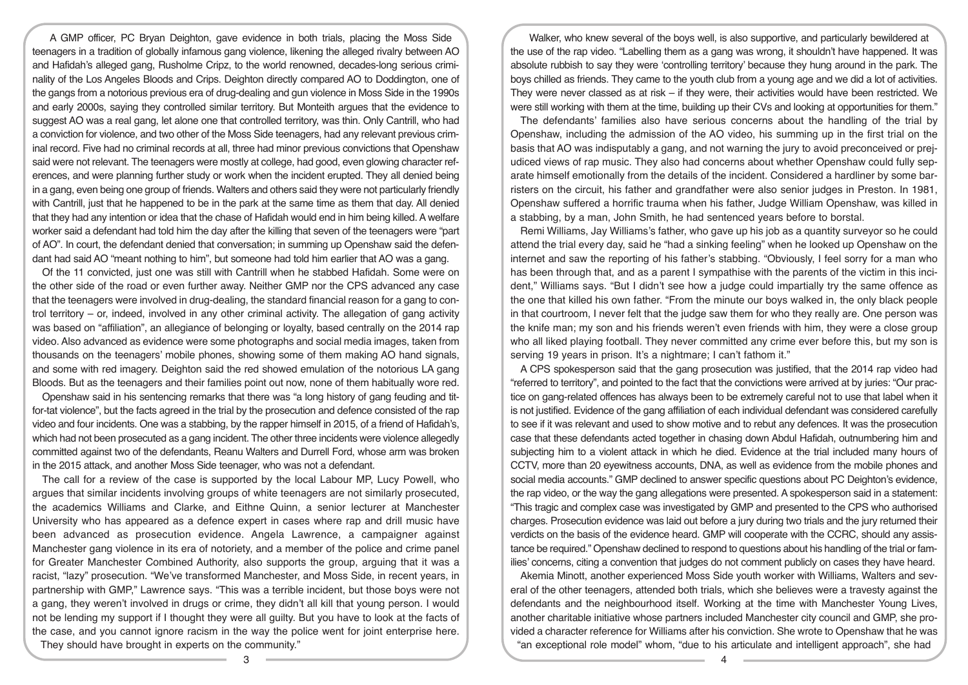A GMP officer, PC Bryan Deighton, gave evidence in both trials, placing the Moss Side teenagers in a tradition of globally infamous gang violence, likening the alleged rivalry between AO and Hafidah's alleged gang, Rusholme Cripz, to the world renowned, decades-long serious criminality of the Los Angeles Bloods and Crips. Deighton directly compared AO to Doddington, one of the gangs from a notorious previous era of drug-dealing and gun violence in Moss Side in the 1990s and early 2000s, saying they controlled similar territory. But Monteith argues that the evidence to suggest AO was a real gang, let alone one that controlled territory, was thin. Only Cantrill, who had a conviction for violence, and two other of the Moss Side teenagers, had any relevant previous criminal record. Five had no criminal records at all, three had minor previous convictions that Openshaw said were not relevant. The teenagers were mostly at college, had good, even glowing character references, and were planning further study or work when the incident erupted. They all denied being in a gang, even being one group of friends. Walters and others said they were not particularly friendly with Cantrill, just that he happened to be in the park at the same time as them that day. All denied that they had any intention or idea that the chase of Hafidah would end in him being killed. A welfare worker said a defendant had told him the day after the killing that seven of the teenagers were "part of AO". In court, the defendant denied that conversation; in summing up Openshaw said the defendant had said AO "meant nothing to him", but someone had told him earlier that AO was a gang.

Of the 11 convicted, just one was still with Cantrill when he stabbed Hafidah. Some were on the other side of the road or even further away. Neither GMP nor the CPS advanced any case that the teenagers were involved in drug-dealing, the standard financial reason for a gang to control territory – or, indeed, involved in any other criminal activity. The allegation of gang activity was based on "affiliation", an allegiance of belonging or loyalty, based centrally on the 2014 rap video. Also advanced as evidence were some photographs and social media images, taken from thousands on the teenagers' mobile phones, showing some of them making AO hand signals, and some with red imagery. Deighton said the red showed emulation of the notorious LA gang Bloods. But as the teenagers and their families point out now, none of them habitually wore red.

Openshaw said in his sentencing remarks that there was "a long history of gang feuding and titfor-tat violence", but the facts agreed in the trial by the prosecution and defence consisted of the rap video and four incidents. One was a stabbing, by the rapper himself in 2015, of a friend of Hafidah's, which had not been prosecuted as a gang incident. The other three incidents were violence allegedly committed against two of the defendants, Reanu Walters and Durrell Ford, whose arm was broken in the 2015 attack, and another Moss Side teenager, who was not a defendant.

The call for a review of the case is supported by the local Labour MP, Lucy Powell, who argues that similar incidents involving groups of white teenagers are not similarly prosecuted, the academics Williams and Clarke, and Eithne Quinn, a senior lecturer at Manchester University who has appeared as a defence expert in cases where rap and drill music have been advanced as prosecution evidence. Angela Lawrence, a campaigner against Manchester gang violence in its era of notoriety, and a member of the police and crime panel for Greater Manchester Combined Authority, also supports the group, arguing that it was a racist, "lazy" prosecution. "We've transformed Manchester, and Moss Side, in recent years, in partnership with GMP," Lawrence says. "This was a terrible incident, but those boys were not a gang, they weren't involved in drugs or crime, they didn't all kill that young person. I would not be lending my support if I thought they were all guilty. But you have to look at the facts of the case, and you cannot ignore racism in the way the police went for joint enterprise here. They should have brought in experts on the community."

Walker, who knew several of the boys well, is also supportive, and particularly bewildered at the use of the rap video. "Labelling them as a gang was wrong, it shouldn't have happened. It was absolute rubbish to say they were 'controlling territory' because they hung around in the park. The boys chilled as friends. They came to the youth club from a young age and we did a lot of activities. They were never classed as at risk – if they were, their activities would have been restricted. We were still working with them at the time, building up their CVs and looking at opportunities for them."

The defendants' families also have serious concerns about the handling of the trial by Openshaw, including the admission of the AO video, his summing up in the first trial on the basis that AO was indisputably a gang, and not warning the jury to avoid preconceived or prejudiced views of rap music. They also had concerns about whether Openshaw could fully separate himself emotionally from the details of the incident. Considered a hardliner by some barristers on the circuit, his father and grandfather were also senior judges in Preston. In 1981, Openshaw suffered a horrific trauma when his father, Judge William Openshaw, was killed in a stabbing, by a man, John Smith, he had sentenced years before to borstal.

Remi Williams, Jay Williams's father, who gave up his job as a quantity surveyor so he could attend the trial every day, said he "had a sinking feeling" when he looked up Openshaw on the internet and saw the reporting of his father's stabbing. "Obviously, I feel sorry for a man who has been through that, and as a parent I sympathise with the parents of the victim in this incident," Williams says. "But I didn't see how a judge could impartially try the same offence as the one that killed his own father. "From the minute our boys walked in, the only black people in that courtroom, I never felt that the judge saw them for who they really are. One person was the knife man; my son and his friends weren't even friends with him, they were a close group who all liked playing football. They never committed any crime ever before this, but my son is serving 19 years in prison. It's a nightmare; I can't fathom it."

A CPS spokesperson said that the gang prosecution was justified, that the 2014 rap video had "referred to territory", and pointed to the fact that the convictions were arrived at by juries: "Our practice on gang-related offences has always been to be extremely careful not to use that label when it is not justified. Evidence of the gang affiliation of each individual defendant was considered carefully to see if it was relevant and used to show motive and to rebut any defences. It was the prosecution case that these defendants acted together in chasing down Abdul Hafidah, outnumbering him and subjecting him to a violent attack in which he died. Evidence at the trial included many hours of CCTV, more than 20 eyewitness accounts, DNA, as well as evidence from the mobile phones and social media accounts." GMP declined to answer specific questions about PC Deighton's evidence, the rap video, or the way the gang allegations were presented. A spokesperson said in a statement: "This tragic and complex case was investigated by GMP and presented to the CPS who authorised charges. Prosecution evidence was laid out before a jury during two trials and the jury returned their verdicts on the basis of the evidence heard. GMP will cooperate with the CCRC, should any assistance be required." Openshaw declined to respond to questions about his handling of the trial or families' concerns, citing a convention that judges do not comment publicly on cases they have heard.

Akemia Minott, another experienced Moss Side youth worker with Williams, Walters and several of the other teenagers, attended both trials, which she believes were a travesty against the defendants and the neighbourhood itself. Working at the time with Manchester Young Lives, another charitable initiative whose partners included Manchester city council and GMP, she provided a character reference for Williams after his conviction. She wrote to Openshaw that he was "an exceptional role model" whom, "due to his articulate and intelligent approach", she had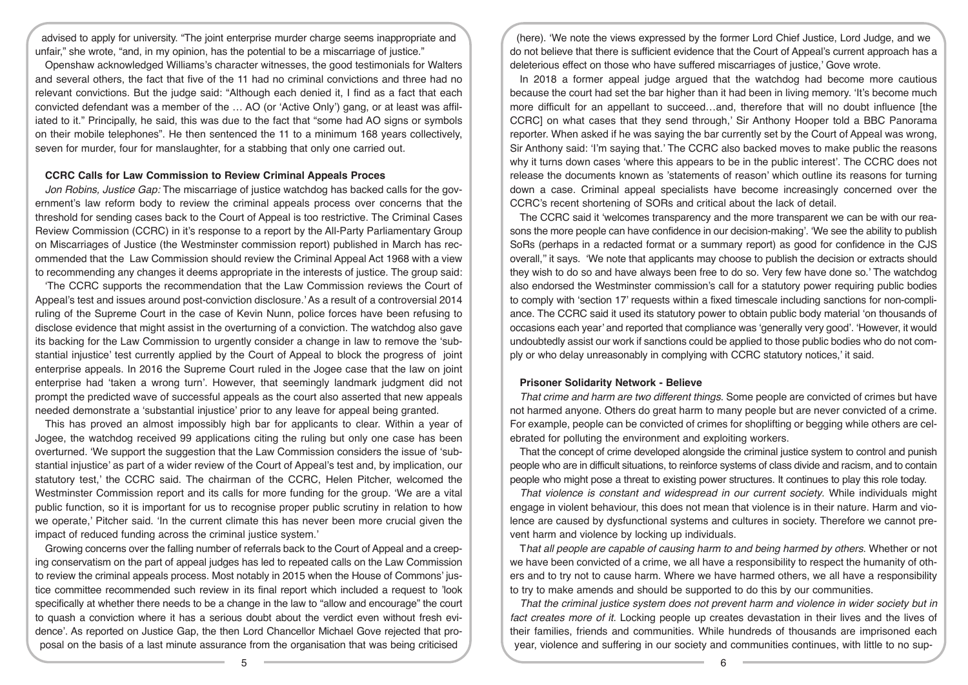advised to apply for university. "The joint enterprise murder charge seems inappropriate and unfair," she wrote, "and, in my opinion, has the potential to be a miscarriage of justice."

Openshaw acknowledged Williams's character witnesses, the good testimonials for Walters and several others, the fact that five of the 11 had no criminal convictions and three had no relevant convictions. But the judge said: "Although each denied it, I find as a fact that each convicted defendant was a member of the … AO (or 'Active Only') gang, or at least was affiliated to it." Principally, he said, this was due to the fact that "some had AO signs or symbols on their mobile telephones". He then sentenced the 11 to a minimum 168 years collectively, seven for murder, four for manslaughter, for a stabbing that only one carried out.

#### **CCRC Calls for Law Commission to Review Criminal Appeals Proces**

*Jon Robins, Justice Gap:* The miscarriage of justice watchdog has backed calls for the government's law reform body to review the criminal appeals process over concerns that the threshold for sending cases back to the Court of Appeal is too restrictive. The Criminal Cases Review Commission (CCRC) in it's response to a report by the All-Party Parliamentary Group on Miscarriages of Justice (the Westminster commission report) published in March has recommended that the Law Commission should review the Criminal Appeal Act 1968 with a view to recommending any changes it deems appropriate in the interests of justice. The group said:

'The CCRC supports the recommendation that the Law Commission reviews the Court of Appeal's test and issues around post-conviction disclosure.' As a result of a controversial 2014 ruling of the Supreme Court in the case of Kevin Nunn, police forces have been refusing to disclose evidence that might assist in the overturning of a conviction. The watchdog also gave its backing for the Law Commission to urgently consider a change in law to remove the 'substantial injustice' test currently applied by the Court of Appeal to block the progress of joint enterprise appeals. In 2016 the Supreme Court ruled in the Jogee case that the law on joint enterprise had 'taken a wrong turn'. However, that seemingly landmark judgment did not prompt the predicted wave of successful appeals as the court also asserted that new appeals needed demonstrate a 'substantial injustice' prior to any leave for appeal being granted.

This has proved an almost impossibly high bar for applicants to clear. Within a year of Jogee, the watchdog received 99 applications citing the ruling but only one case has been overturned. 'We support the suggestion that the Law Commission considers the issue of 'substantial injustice' as part of a wider review of the Court of Appeal's test and, by implication, our statutory test,' the CCRC said. The chairman of the CCRC, Helen Pitcher, welcomed the Westminster Commission report and its calls for more funding for the group. 'We are a vital public function, so it is important for us to recognise proper public scrutiny in relation to how we operate,' Pitcher said. 'In the current climate this has never been more crucial given the impact of reduced funding across the criminal justice system.'

Growing concerns over the falling number of referrals back to the Court of Appeal and a creeping conservatism on the part of appeal judges has led to repeated calls on the Law Commission to review the criminal appeals process. Most notably in 2015 when the House of Commons' justice committee recommended such review in its final report which included a request to 'look specifically at whether there needs to be a change in the law to "allow and encourage" the court to quash a conviction where it has a serious doubt about the verdict even without fresh evidence'. As reported on Justice Gap, the then Lord Chancellor Michael Gove rejected that proposal on the basis of a last minute assurance from the organisation that was being criticised

(here). 'We note the views expressed by the former Lord Chief Justice, Lord Judge, and we do not believe that there is sufficient evidence that the Court of Appeal's current approach has a deleterious effect on those who have suffered miscarriages of justice,' Gove wrote.

In 2018 a former appeal judge argued that the watchdog had become more cautious because the court had set the bar higher than it had been in living memory. 'It's become much more difficult for an appellant to succeed…and, therefore that will no doubt influence [the CCRC] on what cases that they send through,' Sir Anthony Hooper told a BBC Panorama reporter. When asked if he was saying the bar currently set by the Court of Appeal was wrong, Sir Anthony said: 'I'm saying that.' The CCRC also backed moves to make public the reasons why it turns down cases 'where this appears to be in the public interest'. The CCRC does not release the documents known as 'statements of reason' which outline its reasons for turning down a case. Criminal appeal specialists have become increasingly concerned over the CCRC's recent shortening of SORs and critical about the lack of detail.

The CCRC said it 'welcomes transparency and the more transparent we can be with our reasons the more people can have confidence in our decision-making'. 'We see the ability to publish SoRs (perhaps in a redacted format or a summary report) as good for confidence in the CJS overall,'' it says. 'We note that applicants may choose to publish the decision or extracts should they wish to do so and have always been free to do so. Very few have done so.' The watchdog also endorsed the Westminster commission's call for a statutory power requiring public bodies to comply with 'section 17' requests within a fixed timescale including sanctions for non-compliance. The CCRC said it used its statutory power to obtain public body material 'on thousands of occasions each year' and reported that compliance was 'generally very good'. 'However, it would undoubtedly assist our work if sanctions could be applied to those public bodies who do not comply or who delay unreasonably in complying with CCRC statutory notices,' it said.

## **Prisoner Solidarity Network - Believe**

*That crime and harm are two different things*. Some people are convicted of crimes but have not harmed anyone. Others do great harm to many people but are never convicted of a crime. For example, people can be convicted of crimes for shoplifting or begging while others are celebrated for polluting the environment and exploiting workers.

That the concept of crime developed alongside the criminal justice system to control and punish people who are in difficult situations, to reinforce systems of class divide and racism, and to contain people who might pose a threat to existing power structures. It continues to play this role today.

*That violence is constant and widespread in our current society*. While individuals might engage in violent behaviour, this does not mean that violence is in their nature. Harm and violence are caused by dysfunctional systems and cultures in society. Therefore we cannot prevent harm and violence by locking up individuals.

T*hat all people are capable of causing harm to and being harmed by others*. Whether or not we have been convicted of a crime, we all have a responsibility to respect the humanity of others and to try not to cause harm. Where we have harmed others, we all have a responsibility to try to make amends and should be supported to do this by our communities.

*That the criminal justice system does not prevent harm and violence in wider society but in*  fact creates more of it. Locking people up creates devastation in their lives and the lives of their families, friends and communities. While hundreds of thousands are imprisoned each year, violence and suffering in our society and communities continues, with little to no sup-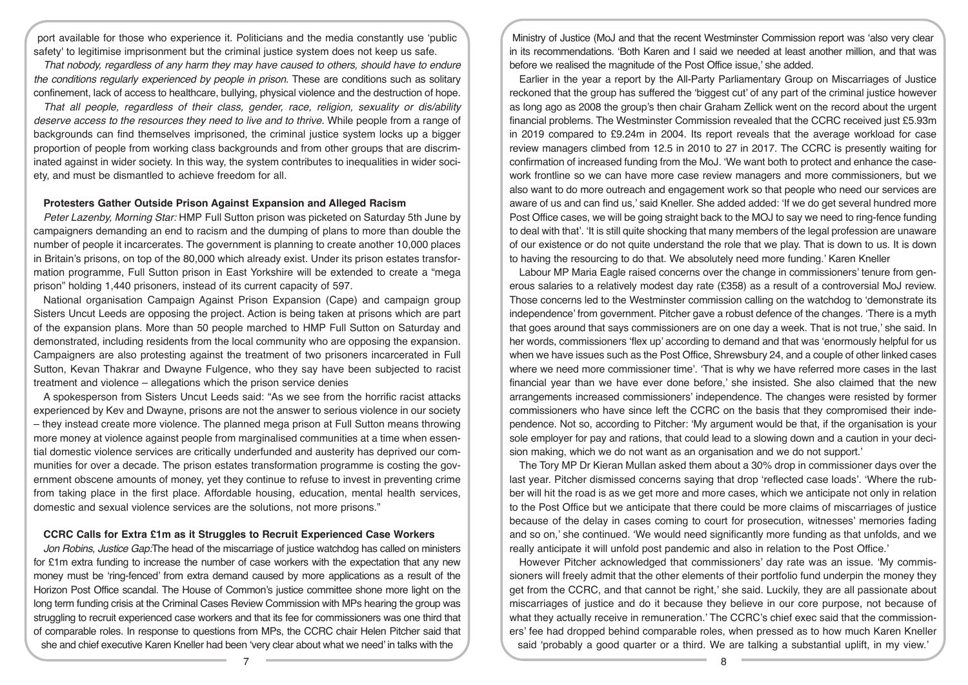port available for those who experience it. Politicians and the media constantly use 'public safety' to legitimise imprisonment but the criminal justice system does not keep us safe.

*That nobody, regardless of any harm they may have caused to others, should have to endure the conditions regularly experienced by people in prison*. These are conditions such as solitary confinement, lack of access to healthcare, bullying, physical violence and the destruction of hope.

*That all people, regardless of their class, gender, race, religion, sexuality or dis/ability deserve access to the resources they need to live and to thrive.* While people from a range of backgrounds can find themselves imprisoned, the criminal justice system locks up a bigger proportion of people from working class backgrounds and from other groups that are discriminated against in wider society. In this way, the system contributes to inequalities in wider society, and must be dismantled to achieve freedom for all.

## **Protesters Gather Outside Prison Against Expansion and Alleged Racism**

*Peter Lazenby, Morning Star:* HMP Full Sutton prison was picketed on Saturday 5th June by campaigners demanding an end to racism and the dumping of plans to more than double the number of people it incarcerates. The government is planning to create another 10,000 places in Britain's prisons, on top of the 80,000 which already exist. Under its prison estates transformation programme, Full Sutton prison in East Yorkshire will be extended to create a "mega prison" holding 1,440 prisoners, instead of its current capacity of 597.

National organisation Campaign Against Prison Expansion (Cape) and campaign group Sisters Uncut Leeds are opposing the project. Action is being taken at prisons which are part of the expansion plans. More than 50 people marched to HMP Full Sutton on Saturday and demonstrated, including residents from the local community who are opposing the expansion. Campaigners are also protesting against the treatment of two prisoners incarcerated in Full Sutton, Kevan Thakrar and Dwayne Fulgence, who they say have been subjected to racist treatment and violence – allegations which the prison service denies

A spokesperson from Sisters Uncut Leeds said: "As we see from the horrific racist attacks experienced by Kev and Dwayne, prisons are not the answer to serious violence in our society – they instead create more violence. The planned mega prison at Full Sutton means throwing more money at violence against people from marginalised communities at a time when essential domestic violence services are critically underfunded and austerity has deprived our communities for over a decade. The prison estates transformation programme is costing the government obscene amounts of money, yet they continue to refuse to invest in preventing crime from taking place in the first place. Affordable housing, education, mental health services, domestic and sexual violence services are the solutions, not more prisons."

#### **CCRC Calls for Extra £1m as it Struggles to Recruit Experienced Case Workers**

*Jon Robins, Justice Gap:*The head of the miscarriage of justice watchdog has called on ministers for £1m extra funding to increase the number of case workers with the expectation that any new money must be 'ring-fenced' from extra demand caused by more applications as a result of the Horizon Post Office scandal. The House of Common's justice committee shone more light on the long term funding crisis at the Criminal Cases Review Commission with MPs hearing the group was struggling to recruit experienced case workers and that its fee for commissioners was one third that of comparable roles. In response to questions from MPs, the CCRC chair Helen Pitcher said that she and chief executive Karen Kneller had been 'very clear about what we need' in talks with the

Ministry of Justice (MoJ and that the recent Westminster Commission report was 'also very clear in its recommendations. 'Both Karen and I said we needed at least another million, and that was before we realised the magnitude of the Post Office issue,' she added.

Earlier in the year a report by the All-Party Parliamentary Group on Miscarriages of Justice reckoned that the group has suffered the 'biggest cut' of any part of the criminal justice however as long ago as 2008 the group's then chair Graham Zellick went on the record about the urgent financial problems. The Westminster Commission revealed that the CCRC received just £5.93m in 2019 compared to £9.24m in 2004. Its report reveals that the average workload for case review managers climbed from 12.5 in 2010 to 27 in 2017. The CCRC is presently waiting for confirmation of increased funding from the MoJ. 'We want both to protect and enhance the casework frontline so we can have more case review managers and more commissioners, but we also want to do more outreach and engagement work so that people who need our services are aware of us and can find us,' said Kneller. She added added: 'If we do get several hundred more Post Office cases, we will be going straight back to the MOJ to say we need to ring-fence funding to deal with that'. 'It is still quite shocking that many members of the legal profession are unaware of our existence or do not quite understand the role that we play. That is down to us. It is down to having the resourcing to do that. We absolutely need more funding.' Karen Kneller

Labour MP Maria Eagle raised concerns over the change in commissioners' tenure from generous salaries to a relatively modest day rate (£358) as a result of a controversial MoJ review. Those concerns led to the Westminster commission calling on the watchdog to 'demonstrate its independence' from government. Pitcher gave a robust defence of the changes. 'There is a myth that goes around that says commissioners are on one day a week. That is not true,' she said. In her words, commissioners 'flex up' according to demand and that was 'enormously helpful for us when we have issues such as the Post Office, Shrewsbury 24, and a couple of other linked cases where we need more commissioner time'. 'That is why we have referred more cases in the last financial year than we have ever done before,' she insisted. She also claimed that the new arrangements increased commissioners' independence. The changes were resisted by former commissioners who have since left the CCRC on the basis that they compromised their independence. Not so, according to Pitcher: 'My argument would be that, if the organisation is your sole employer for pay and rations, that could lead to a slowing down and a caution in your decision making, which we do not want as an organisation and we do not support.'

The Tory MP Dr Kieran Mullan asked them about a 30% drop in commissioner days over the last year. Pitcher dismissed concerns saying that drop 'reflected case loads'. 'Where the rubber will hit the road is as we get more and more cases, which we anticipate not only in relation to the Post Office but we anticipate that there could be more claims of miscarriages of justice because of the delay in cases coming to court for prosecution, witnesses' memories fading and so on,' she continued. 'We would need significantly more funding as that unfolds, and we really anticipate it will unfold post pandemic and also in relation to the Post Office.'

However Pitcher acknowledged that commissioners' day rate was an issue. 'My commissioners will freely admit that the other elements of their portfolio fund underpin the money they get from the CCRC, and that cannot be right,' she said. Luckily, they are all passionate about miscarriages of justice and do it because they believe in our core purpose, not because of what they actually receive in remuneration.' The CCRC's chief exec said that the commissioners' fee had dropped behind comparable roles, when pressed as to how much Karen Kneller said 'probably a good quarter or a third. We are talking a substantial uplift, in my view.'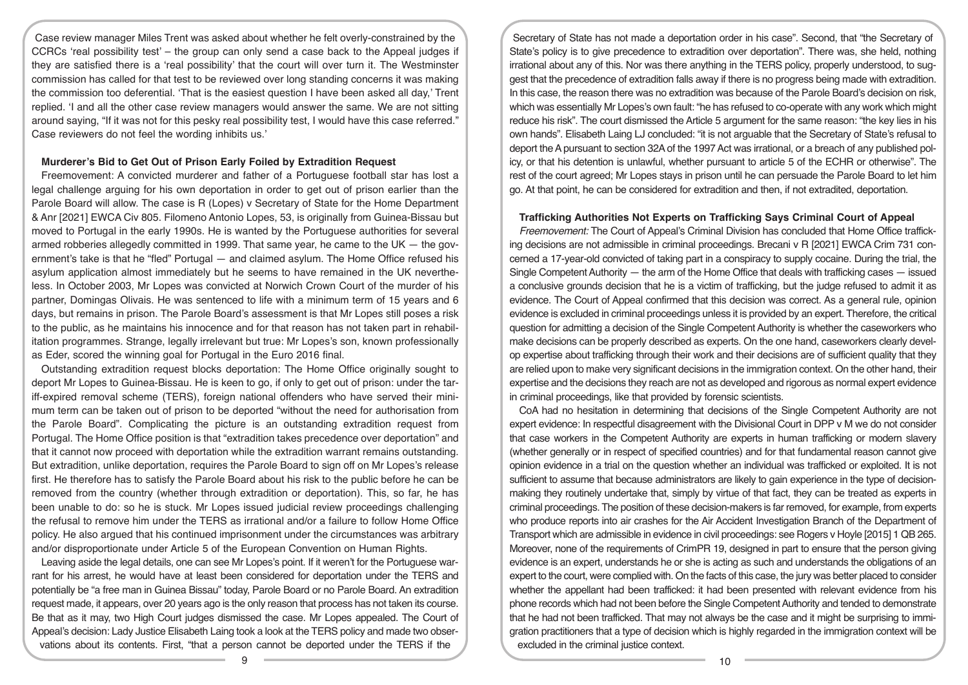Case review manager Miles Trent was asked about whether he felt overly-constrained by the CCRCs 'real possibility test' – the group can only send a case back to the Appeal judges if they are satisfied there is a 'real possibility' that the court will over turn it. The Westminster commission has called for that test to be reviewed over long standing concerns it was making the commission too deferential. 'That is the easiest question I have been asked all day,' Trent replied. 'I and all the other case review managers would answer the same. We are not sitting around saying, "If it was not for this pesky real possibility test, I would have this case referred." Case reviewers do not feel the wording inhibits us.'

## **Murderer's Bid to Get Out of Prison Early Foiled by Extradition Request**

Freemovement: A convicted murderer and father of a Portuguese football star has lost a legal challenge arguing for his own deportation in order to get out of prison earlier than the Parole Board will allow. The case is R (Lopes) v Secretary of State for the Home Department & Anr [2021] EWCA Civ 805. Filomeno Antonio Lopes, 53, is originally from Guinea-Bissau but moved to Portugal in the early 1990s. He is wanted by the Portuguese authorities for several armed robberies allegedly committed in 1999. That same year, he came to the UK  $-$  the government's take is that he "fled" Portugal — and claimed asylum. The Home Office refused his asylum application almost immediately but he seems to have remained in the UK nevertheless. In October 2003, Mr Lopes was convicted at Norwich Crown Court of the murder of his partner, Domingas Olivais. He was sentenced to life with a minimum term of 15 years and 6 days, but remains in prison. The Parole Board's assessment is that Mr Lopes still poses a risk to the public, as he maintains his innocence and for that reason has not taken part in rehabilitation programmes. Strange, legally irrelevant but true: Mr Lopes's son, known professionally as Eder, scored the winning goal for Portugal in the Euro 2016 final.

Outstanding extradition request blocks deportation: The Home Office originally sought to deport Mr Lopes to Guinea-Bissau. He is keen to go, if only to get out of prison: under the tariff-expired removal scheme (TERS), foreign national offenders who have served their minimum term can be taken out of prison to be deported "without the need for authorisation from the Parole Board". Complicating the picture is an outstanding extradition request from Portugal. The Home Office position is that "extradition takes precedence over deportation" and that it cannot now proceed with deportation while the extradition warrant remains outstanding. But extradition, unlike deportation, requires the Parole Board to sign off on Mr Lopes's release first. He therefore has to satisfy the Parole Board about his risk to the public before he can be removed from the country (whether through extradition or deportation). This, so far, he has been unable to do: so he is stuck. Mr Lopes issued judicial review proceedings challenging the refusal to remove him under the TERS as irrational and/or a failure to follow Home Office policy. He also argued that his continued imprisonment under the circumstances was arbitrary and/or disproportionate under Article 5 of the European Convention on Human Rights.

Leaving aside the legal details, one can see Mr Lopes's point. If it weren't for the Portuguese warrant for his arrest, he would have at least been considered for deportation under the TERS and potentially be "a free man in Guinea Bissau" today, Parole Board or no Parole Board. An extradition request made, it appears, over 20 years ago is the only reason that process has not taken its course. Be that as it may, two High Court judges dismissed the case. Mr Lopes appealed. The Court of Appeal's decision: Lady Justice Elisabeth Laing took a look at the TERS policy and made two observations about its contents. First, "that a person cannot be deported under the TERS if the

Secretary of State has not made a deportation order in his case". Second, that "the Secretary of State's policy is to give precedence to extradition over deportation". There was, she held, nothing irrational about any of this. Nor was there anything in the TERS policy, properly understood, to suggest that the precedence of extradition falls away if there is no progress being made with extradition. In this case, the reason there was no extradition was because of the Parole Board's decision on risk, which was essentially Mr Lopes's own fault: "he has refused to co-operate with any work which might reduce his risk". The court dismissed the Article 5 argument for the same reason: "the key lies in his own hands". Elisabeth Laing LJ concluded: "it is not arguable that the Secretary of State's refusal to deport the A pursuant to section 32A of the 1997 Act was irrational, or a breach of any published policy, or that his detention is unlawful, whether pursuant to article 5 of the ECHR or otherwise". The rest of the court agreed; Mr Lopes stays in prison until he can persuade the Parole Board to let him go. At that point, he can be considered for extradition and then, if not extradited, deportation.

## **Trafficking Authorities Not Experts on Trafficking Says Criminal Court of Appeal**

*Freemovement:* The Court of Appeal's Criminal Division has concluded that Home Office trafficking decisions are not admissible in criminal proceedings. Brecani v R [2021] EWCA Crim 731 concerned a 17-year-old convicted of taking part in a conspiracy to supply cocaine. During the trial, the Single Competent Authority — the arm of the Home Office that deals with trafficking cases — issued a conclusive grounds decision that he is a victim of trafficking, but the judge refused to admit it as evidence. The Court of Appeal confirmed that this decision was correct. As a general rule, opinion evidence is excluded in criminal proceedings unless it is provided by an expert. Therefore, the critical question for admitting a decision of the Single Competent Authority is whether the caseworkers who make decisions can be properly described as experts. On the one hand, caseworkers clearly develop expertise about trafficking through their work and their decisions are of sufficient quality that they are relied upon to make very significant decisions in the immigration context. On the other hand, their expertise and the decisions they reach are not as developed and rigorous as normal expert evidence in criminal proceedings, like that provided by forensic scientists.

CoA had no hesitation in determining that decisions of the Single Competent Authority are not expert evidence: In respectful disagreement with the Divisional Court in DPP v M we do not consider that case workers in the Competent Authority are experts in human trafficking or modern slavery (whether generally or in respect of specified countries) and for that fundamental reason cannot give opinion evidence in a trial on the question whether an individual was trafficked or exploited. It is not sufficient to assume that because administrators are likely to gain experience in the type of decisionmaking they routinely undertake that, simply by virtue of that fact, they can be treated as experts in criminal proceedings. The position of these decision-makers is far removed, for example, from experts who produce reports into air crashes for the Air Accident Investigation Branch of the Department of Transport which are admissible in evidence in civil proceedings: see Rogers v Hoyle [2015] 1 QB 265. Moreover, none of the requirements of CrimPR 19, designed in part to ensure that the person giving evidence is an expert, understands he or she is acting as such and understands the obligations of an expert to the court, were complied with. On the facts of this case, the jury was better placed to consider whether the appellant had been trafficked: it had been presented with relevant evidence from his phone records which had not been before the Single Competent Authority and tended to demonstrate that he had not been trafficked. That may not always be the case and it might be surprising to immigration practitioners that a type of decision which is highly regarded in the immigration context will be excluded in the criminal justice context.